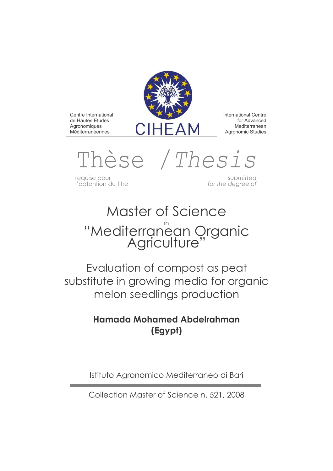

International Centre for Advanced Mediterranean Agronomic Studies

Thèse /*Thesis*

requise pour *submitted*

Centre International de Hautes Etudes **Agronomiques** Méditerranéennes

for the degree of

# Master of Science "Mediterranean Organic<br>Agriculture"

Evaluation of compost as peat substitute in growing media for organic melon seedlings production

# **Hamada Mohamed Abdelrahman (Egypt)**

Istituto Agronomico Mediterraneo di Bari

Collection Master of Science n. 521, 2008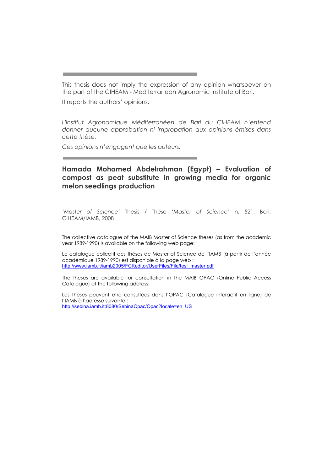This thesis does not imply the expression of any opinion whatsoever on the part of the CIHEAM - Mediterranean Agronomic Institute of Bari.

It reports the authors' opinions.

*L'Institut Agronomique Méditerranéen de Bari du CIHEAM n'entend donner aucune approbation ni improbation aux opinions émises dans cette thèse.* 

Ces opinions n'engagent que les auteurs.

## Hamada Mohamed Abdelrahman (Egypt) - Evaluation of **compost as peat substitute in growing media for organic melon seedlings production**

*CMaster of Science=* Thesis / Thèse *CMaster of Science=* n. 521, Bari, CIHEAM/IAMB, 2008

The collective catalogue of the MAIB Master of Science theses (as from the academic year 1989-1990) is available on the following web page:

Le catalogue collectif des thèses de Master of Science de l'IAMB (à partir de l'année académique 1989-1990) est disponible à la page web : http://www.iamb.it/iamb2005/FCKeditor/UserFiles/File/tesi\_master.pdf

The theses are available for consultation in the MAIB OPAC (Online Public Access Catalogue) at the following address:

Les thèses peuvent être consultées dans l'OPAC (Catalogue interactif en ligne) de l'IAMB à l'adresse suivante : http://sebina.iamb.it:8080/SebinaOpac/Opac?locale=en\_US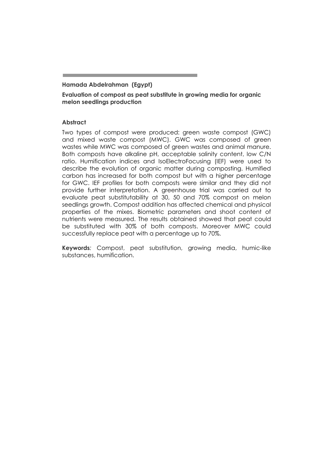#### **Hamada Abdelrahman (Egypt)**

**Evaluation of compost as peat substitute in growing media for organic melon seedlings production** 

#### **Abstract**

Two types of compost were produced: green waste compost (GWC) and mixed waste compost (MWC). GWC was composed of green wastes while MWC was composed of green wastes and animal manure. Both composts have alkaline pH, acceptable salinity content, low C/N ratio. Humification indices and IsoElectroFocusing (IEF) were used to describe the evolution of organic matter during composting. Humified carbon has increased for both compost but with a higher percentage for GWC. IEF profiles for both composts were similar and they did not provide further interpretation. A greenhouse trial was carried out to evaluate peat substitutability at 30, 50 and 70% compost on melon seedlings growth. Compost addition has affected chemical and physical properties of the mixes. Biometric parameters and shoot content of nutrients were measured. The results obtained showed that peat could be substituted with 30% of both composts. Moreover MWC could successfully replace peat with a percentage up to 70%.

**Keywords***:* Compost, peat substitution, growing media, humic-like substances, humification.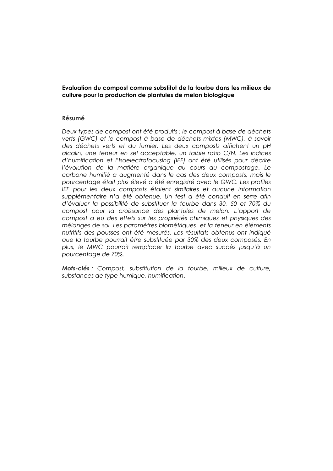**Evaluation du compost comme substitut de la tourbe dans les milieux de culture pour la production de plantules de melon biologique** 

#### **Résumé**

*Deux types de compost ont été produits : le compost à base de déchets verts (GWC) et le compost à base de déchets mixtes (MWC), à savoir des déchets verts et du fumier. Les deux composts affichent un pH alcalin, une teneur en sel acceptable, un faible ratio C/N. Les indices d'humification et l'Isoelectrofocusing (IEF) ont été utilisés pour décrire l'évolution de la matière organique au cours du compostage. Le carbone humifié a augmenté dans le cas des deux composts, mais le pourcentage était plus élevé a été enregistré avec le GWC. Les profiles IEF pour les deux composts étaient similaires et aucune information supplémentaire n=a été obtenue. Un test a été conduit en serre afin d'évaluer la possibilité de substituer la tourbe dans 30, 50 et 70% du* compost pour la croissance des plantules de melon. L'apport de *compost a eu des effets sur les propriétés chimiques et physiques des mélanges de sol. Les paramètres biométriques et la teneur en éléments nutritifs des pousses ont été mesurés. Les résultats obtenus ont indiqué que la tourbe pourrait être substituée par 30% des deux composés. En*  plus, le MWC pourrait remplacer la tourbe avec succès jusqu'à un *pourcentage de 70%.* 

*Mots-clés : Compost, substitution de la tourbe, milieux de culture, substances de type humique, humification*.